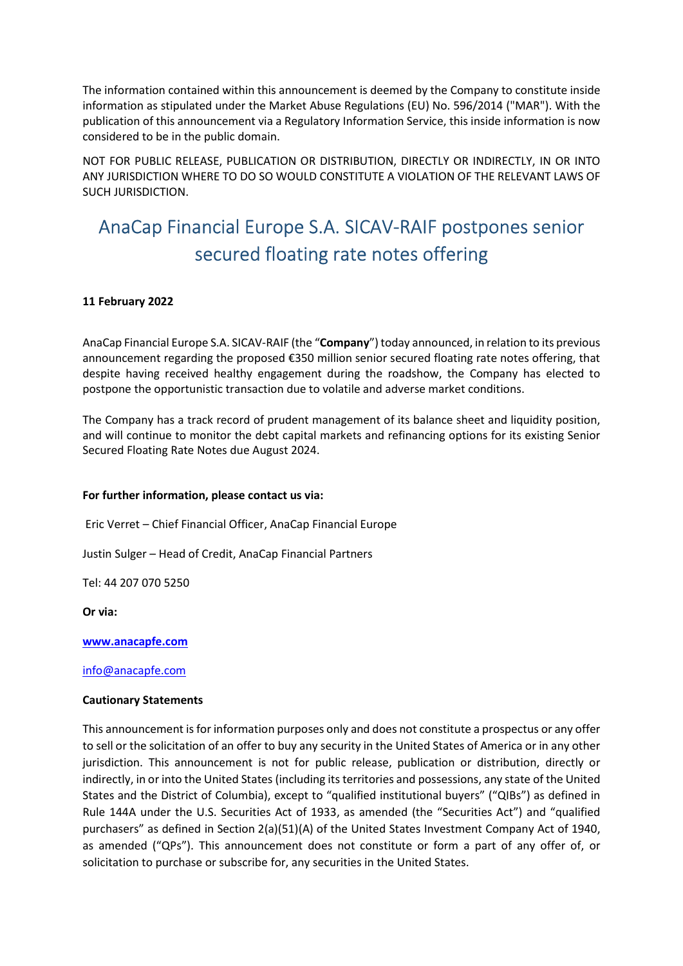The information contained within this announcement is deemed by the Company to constitute inside information as stipulated under the Market Abuse Regulations (EU) No. 596/2014 ("MAR"). With the publication of this announcement via a Regulatory Information Service, this inside information is now considered to be in the public domain.

NOT FOR PUBLIC RELEASE, PUBLICATION OR DISTRIBUTION, DIRECTLY OR INDIRECTLY, IN OR INTO ANY JURISDICTION WHERE TO DO SO WOULD CONSTITUTE A VIOLATION OF THE RELEVANT LAWS OF SUCH JURISDICTION.

# AnaCap Financial Europe S.A. SICAV-RAIF postpones senior secured floating rate notes offering

## 11 February 2022

AnaCap Financial Europe S.A. SICAV-RAIF (the "Company") today announced, in relation to its previous announcement regarding the proposed €350 million senior secured floating rate notes offering, that despite having received healthy engagement during the roadshow, the Company has elected to postpone the opportunistic transaction due to volatile and adverse market conditions.

The Company has a track record of prudent management of its balance sheet and liquidity position, and will continue to monitor the debt capital markets and refinancing options for its existing Senior Secured Floating Rate Notes due August 2024.

### For further information, please contact us via:

Eric Verret – Chief Financial Officer, AnaCap Financial Europe

Justin Sulger – Head of Credit, AnaCap Financial Partners

Tel: 44 207 070 5250

Or via:

www.anacapfe.com

#### info@anacapfe.com

#### Cautionary Statements

This announcement is for information purposes only and does not constitute a prospectus or any offer to sell or the solicitation of an offer to buy any security in the United States of America or in any other jurisdiction. This announcement is not for public release, publication or distribution, directly or indirectly, in or into the United States (including its territories and possessions, any state of the United States and the District of Columbia), except to "qualified institutional buyers" ("QIBs") as defined in Rule 144A under the U.S. Securities Act of 1933, as amended (the "Securities Act") and "qualified purchasers" as defined in Section 2(a)(51)(A) of the United States Investment Company Act of 1940, as amended ("QPs"). This announcement does not constitute or form a part of any offer of, or solicitation to purchase or subscribe for, any securities in the United States.